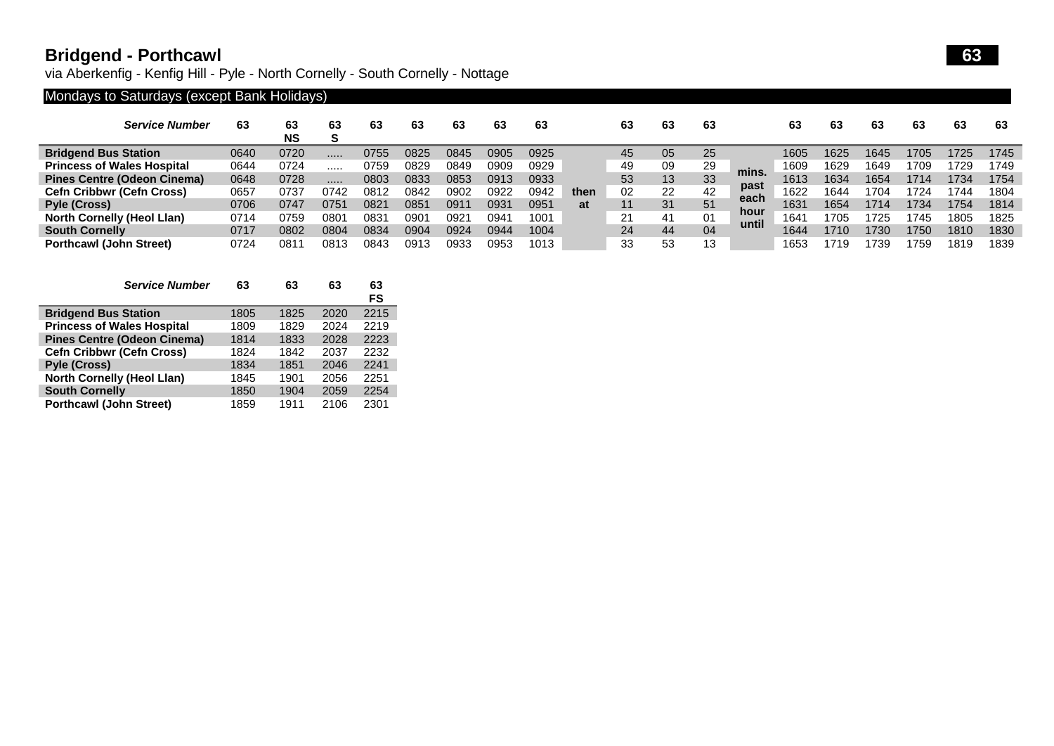## **Bridgend - Porthcawl 63**

via Aberkenfig - Kenfig Hill - Pyle - North Cornelly - South Cornelly - Nottage

## Mondays to Saturdays (except Bank Holidays)

| <b>Service Number</b>              | 63   | 63<br><b>NS</b> | 63              | 63      | 63   | 63      | 63            | 63   |      | 63 | 63 | 63 |              | 63   | 63   | 63   | 63   | 63   | -63  |
|------------------------------------|------|-----------------|-----------------|---------|------|---------|---------------|------|------|----|----|----|--------------|------|------|------|------|------|------|
| <b>Bridgend Bus Station</b>        | 0640 | 0720            |                 | 0755    | 0825 | 0845    | 0905          | 0925 |      | 45 | 05 | 25 |              | 1605 | 1625 | 1645 | '705 | 1725 | 1745 |
| <b>Princess of Wales Hospital</b>  | 0644 | 0724            |                 | 0759    | 0829 | 0849    | 0909          | 0929 |      | 49 | 09 | 29 | mins.        | 1609 | 1629 | 1649 | 709  | 1729 | 1749 |
| <b>Pines Centre (Odeon Cinema)</b> | 0648 | 0728            |                 | 0803    | 0833 | 0853    | 0913          | 0933 |      | 53 | 13 | 33 |              | 1613 | 1634 | 1654 | 1714 | 1734 | 1754 |
| <b>Cefn Cribbwr (Cefn Cross)</b>   | 0657 | 073             | 0742            | 0812    | 0842 | 0902    | 0922          | 0942 | then | 02 | 22 | 42 | past<br>each | 1622 | 1644 | 1704 | 724  | 744  | 1804 |
| <b>Pyle (Cross)</b>                | 0706 | 0747            | 075 $^{\prime}$ | $082^.$ | 0851 | 091'    | 093'          | 0951 | at   |    | 31 | 51 | hour         | 1631 | 1654 | 1714 | 734  | 1754 | 1814 |
| <b>North Cornelly (Heol Llan)</b>  | 0714 | 0759            | 080             | 083     | 0901 | $092^.$ | $094^{\circ}$ | 1001 |      | 21 | 41 | 01 | until        | 1641 | 705  | 1725 | 745  | 1805 | 1825 |
| <b>South Cornelly</b>              | 0717 | 0802            | 0804            | 0834    | 0904 | 0924    | 0944          | 1004 |      | 24 | 44 | 04 |              | 1644 | 1710 | 1730 | 750  | 1810 | 1830 |
| <b>Porthcawl (John Street)</b>     | 0724 | 081             | 0813            | 0843    | 0913 | 0933    | 0953          | 1013 |      | 33 | 53 |    |              | 1653 | 1719 | 739  | 759  | 1819 | 1839 |

|                                   | <b>Service Number</b>              | 63   | 63   | 63   | 63<br>FS |
|-----------------------------------|------------------------------------|------|------|------|----------|
| <b>Bridgend Bus Station</b>       |                                    | 1805 | 1825 | 2020 | 2215     |
| <b>Princess of Wales Hospital</b> |                                    | 1809 | 1829 | 2024 | 2219     |
|                                   | <b>Pines Centre (Odeon Cinema)</b> | 1814 | 1833 | 2028 | 2223     |
| <b>Cefn Cribbwr (Cefn Cross)</b>  |                                    | 1824 | 1842 | 2037 | 2232     |
| <b>Pyle (Cross)</b>               |                                    | 1834 | 1851 | 2046 | 2241     |
| <b>North Cornelly (Heol Llan)</b> |                                    | 1845 | 1901 | 2056 | 2251     |
| <b>South Cornelly</b>             |                                    | 1850 | 1904 | 2059 | 2254     |
| <b>Porthcawl (John Street)</b>    |                                    | 1859 | 1911 | 2106 | 2301     |